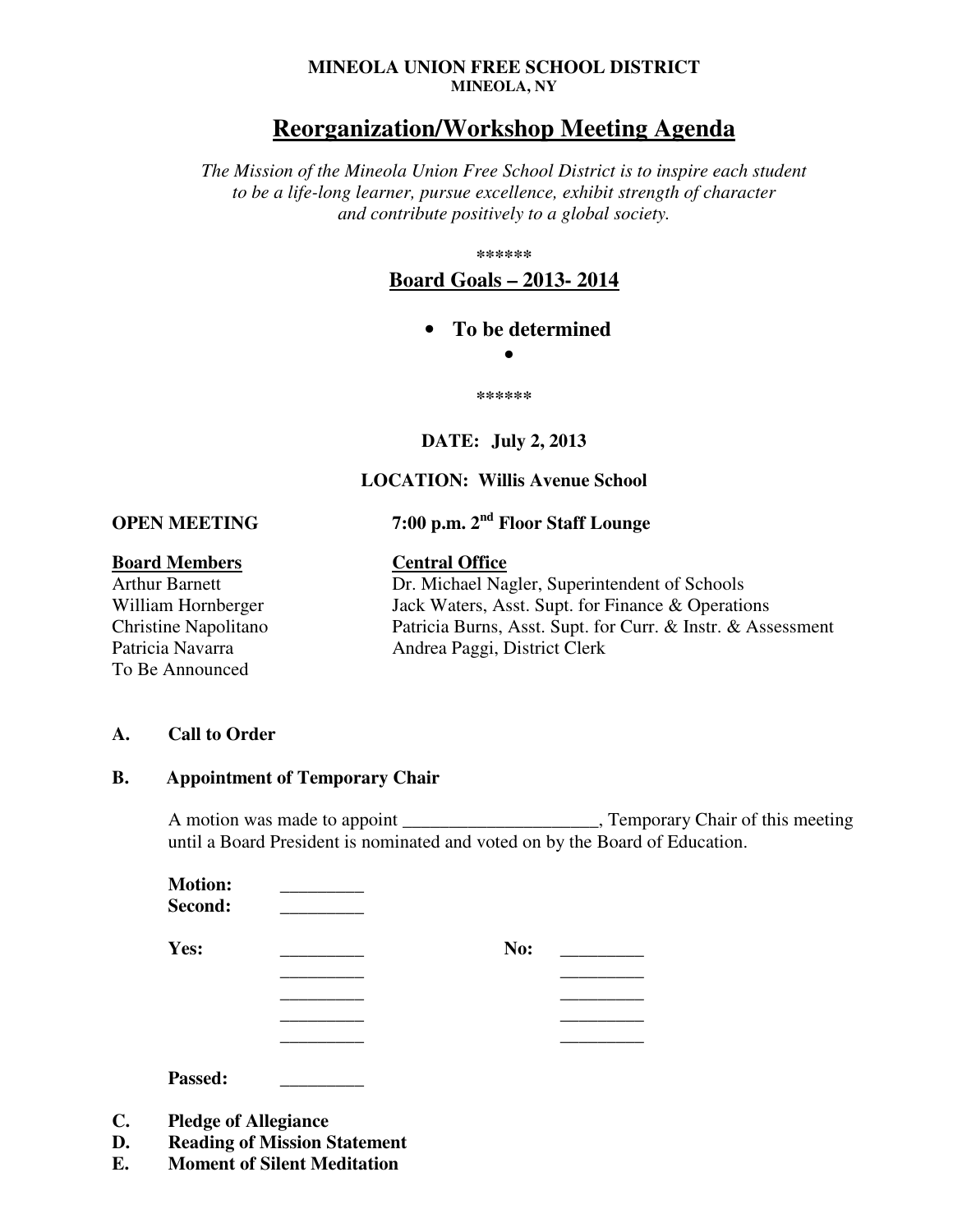#### **MINEOLA UNION FREE SCHOOL DISTRICT MINEOLA, NY**

# **Reorganization/Workshop Meeting Agenda**

*The Mission of the Mineola Union Free School District is to inspire each student to be a life-long learner, pursue excellence, exhibit strength of character and contribute positively to a global society.* 

**\*\*\*\*\*\*** 

**Board Goals – 2013- 2014**

• **To be determined** 

•

**\*\*\*\*\*\*** 

### **DATE: July 2, 2013**

## **LOCATION: Willis Avenue School**

**OPEN MEETING 7:00 p.m. 2nd Floor Staff Lounge** 

# **Board Members Central Office**

To Be Announced

Arthur Barnett Dr. Michael Nagler, Superintendent of Schools William Hornberger Jack Waters, Asst. Supt. for Finance & Operations Christine Napolitano Patricia Burns, Asst. Supt. for Curr. & Instr. & Assessment Patricia Navarra Mandrea Paggi, District Clerk

#### **A. Call to Order**

#### **B. Appointment of Temporary Chair**

A motion was made to appoint \_\_\_\_\_\_\_\_\_\_\_\_\_\_\_\_\_\_\_\_\_, Temporary Chair of this meeting until a Board President is nominated and voted on by the Board of Education.

| <b>Motion:</b> |     |
|----------------|-----|
| Second:        |     |
| Yes:           | No: |
|                |     |
|                |     |
|                |     |
|                |     |

**Passed: \_\_\_\_\_\_\_\_\_**

- **C. Pledge of Allegiance**
- **D. Reading of Mission Statement**
- **E. Moment of Silent Meditation**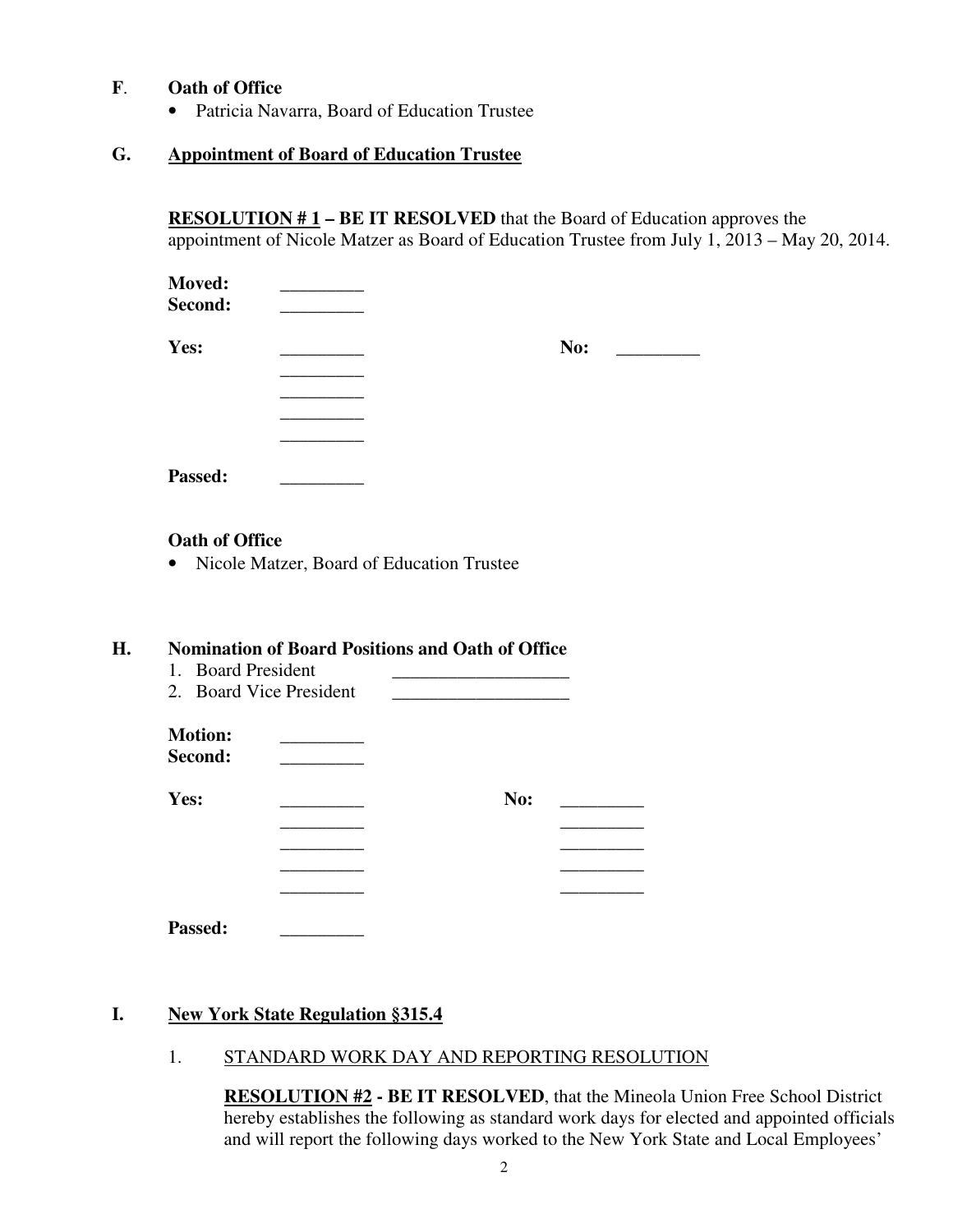## **F**. **Oath of Office**

• Patricia Navarra, Board of Education Trustee

## **G. Appointment of Board of Education Trustee**

 **RESOLUTION # 1 – BE IT RESOLVED** that the Board of Education approves the appointment of Nicole Matzer as Board of Education Trustee from July 1, 2013 – May 20, 2014.

| <b>Moved:</b><br>Second: |     |
|--------------------------|-----|
| Yes:                     | No: |
|                          |     |
|                          |     |
|                          |     |
|                          |     |
| Passed:                  |     |

### **Oath of Office**

• Nicole Matzer, Board of Education Trustee

### **H. Nomination of Board Positions and Oath of Office**

- 1. Board President
- 2. Board Vice President

| <b>Motion:</b> |  |
|----------------|--|
| Second:        |  |

| Yes: | No:<br><u> 1990 - Jan Alexandro III, politik po</u> |
|------|-----------------------------------------------------|
|      |                                                     |
|      |                                                     |
|      |                                                     |
|      |                                                     |
|      |                                                     |

**Passed: \_\_\_\_\_\_\_\_\_** 

### **I. New York State Regulation §315.4**

1. STANDARD WORK DAY AND REPORTING RESOLUTION

**RESOLUTION #2 - BE IT RESOLVED**, that the Mineola Union Free School District hereby establishes the following as standard work days for elected and appointed officials and will report the following days worked to the New York State and Local Employees'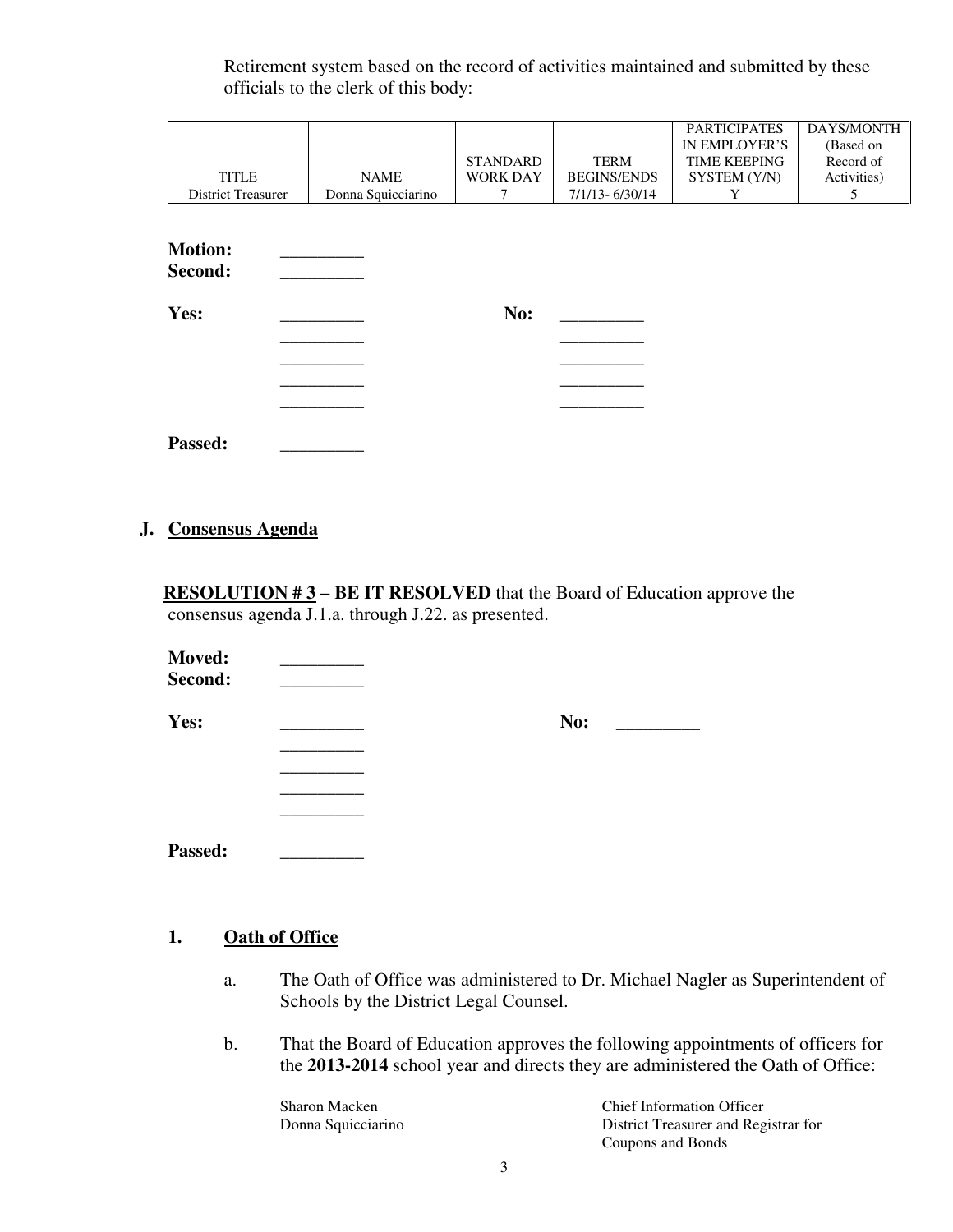Retirement system based on the record of activities maintained and submitted by these officials to the clerk of this body:

|                                   |                    |                 |                    | <b>PARTICIPATES</b> | DAYS/MONTH  |
|-----------------------------------|--------------------|-----------------|--------------------|---------------------|-------------|
|                                   |                    |                 |                    | IN EMPLOYER'S       | (Based on   |
|                                   |                    | STANDARD        | <b>TERM</b>        | <b>TIME KEEPING</b> | Record of   |
| <b>TITLE</b>                      | <b>NAME</b>        | <b>WORK DAY</b> | <b>BEGINS/ENDS</b> | SYSTEM (Y/N)        | Activities) |
| <b>District Treasurer</b>         | Donna Squicciarino |                 | $7/1/13 - 6/30/14$ | Y                   | 5           |
| <b>Motion:</b><br>Second:<br>Yes: |                    | No:             |                    |                     |             |

Passed:

### **J. Consensus Agenda**

**RESOLUTION #3 – BE IT RESOLVED** that the Board of Education approve the consensus agenda J.1.a. through J.22. as presented.

| <b>Moved:</b><br>Second: |     |
|--------------------------|-----|
| Yes:                     | No: |
|                          |     |
|                          |     |
|                          |     |
| Passed:                  |     |

# **1. Oath of Office**

- a. The Oath of Office was administered to Dr. Michael Nagler as Superintendent of Schools by the District Legal Counsel.
- b. That the Board of Education approves the following appointments of officers for the **2013-2014** school year and directs they are administered the Oath of Office:

Sharon Macken Chief Information Officer Donna Squicciarino District Treasurer and Registrar for

Coupons and Bonds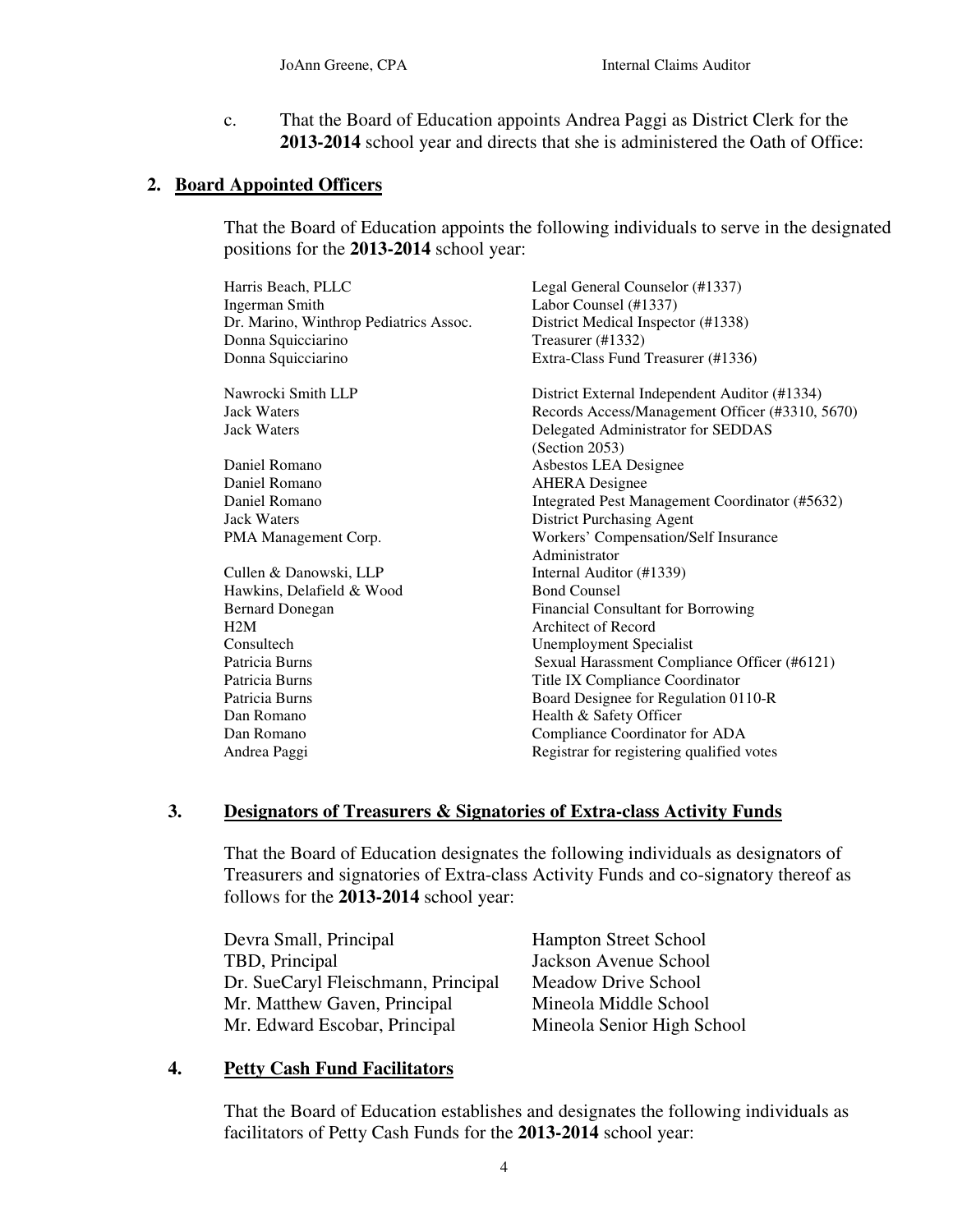c. That the Board of Education appoints Andrea Paggi as District Clerk for the **2013-2014** school year and directs that she is administered the Oath of Office:

# **2. Board Appointed Officers**

That the Board of Education appoints the following individuals to serve in the designated positions for the **2013-2014** school year:

| Harris Beach, PLLC                     | Legal General Counselor (#1337)                 |
|----------------------------------------|-------------------------------------------------|
| Ingerman Smith                         | Labor Counsel (#1337)                           |
| Dr. Marino, Winthrop Pediatrics Assoc. | District Medical Inspector (#1338)              |
| Donna Squicciarino                     | Treasurer (#1332)                               |
| Donna Squicciarino                     | Extra-Class Fund Treasurer (#1336)              |
| Nawrocki Smith LLP                     | District External Independent Auditor (#1334)   |
| <b>Jack Waters</b>                     | Records Access/Management Officer (#3310, 5670) |
| <b>Jack Waters</b>                     | Delegated Administrator for SEDDAS              |
|                                        | (Section 2053)                                  |
| Daniel Romano                          | Asbestos LEA Designee                           |
| Daniel Romano                          | <b>AHERA</b> Designee                           |
| Daniel Romano                          | Integrated Pest Management Coordinator (#5632)  |
| <b>Jack Waters</b>                     | <b>District Purchasing Agent</b>                |
| PMA Management Corp.                   | Workers' Compensation/Self Insurance            |
|                                        | Administrator                                   |
| Cullen & Danowski, LLP                 | Internal Auditor (#1339)                        |
| Hawkins, Delafield & Wood              | <b>Bond Counsel</b>                             |
| <b>Bernard Donegan</b>                 | <b>Financial Consultant for Borrowing</b>       |
| H2M                                    | Architect of Record                             |
| Consultech                             | <b>Unemployment Specialist</b>                  |
| Patricia Burns                         | Sexual Harassment Compliance Officer (#6121)    |
| Patricia Burns                         | Title IX Compliance Coordinator                 |
| Patricia Burns                         | Board Designee for Regulation 0110-R            |
| Dan Romano                             | Health & Safety Officer                         |
| Dan Romano                             | Compliance Coordinator for ADA                  |
| Andrea Paggi                           | Registrar for registering qualified votes       |
|                                        |                                                 |

### **3. Designators of Treasurers & Signatories of Extra-class Activity Funds**

That the Board of Education designates the following individuals as designators of Treasurers and signatories of Extra-class Activity Funds and co-signatory thereof as follows for the **2013-2014** school year:

| Devra Small, Principal              | <b>Hampton Street School</b> |
|-------------------------------------|------------------------------|
| TBD, Principal                      | Jackson Avenue School        |
| Dr. SueCaryl Fleischmann, Principal | Meadow Drive School          |
| Mr. Matthew Gaven, Principal        | Mineola Middle School        |
| Mr. Edward Escobar, Principal       | Mineola Senior High School   |

# **4. Petty Cash Fund Facilitators**

That the Board of Education establishes and designates the following individuals as facilitators of Petty Cash Funds for the **2013-2014** school year: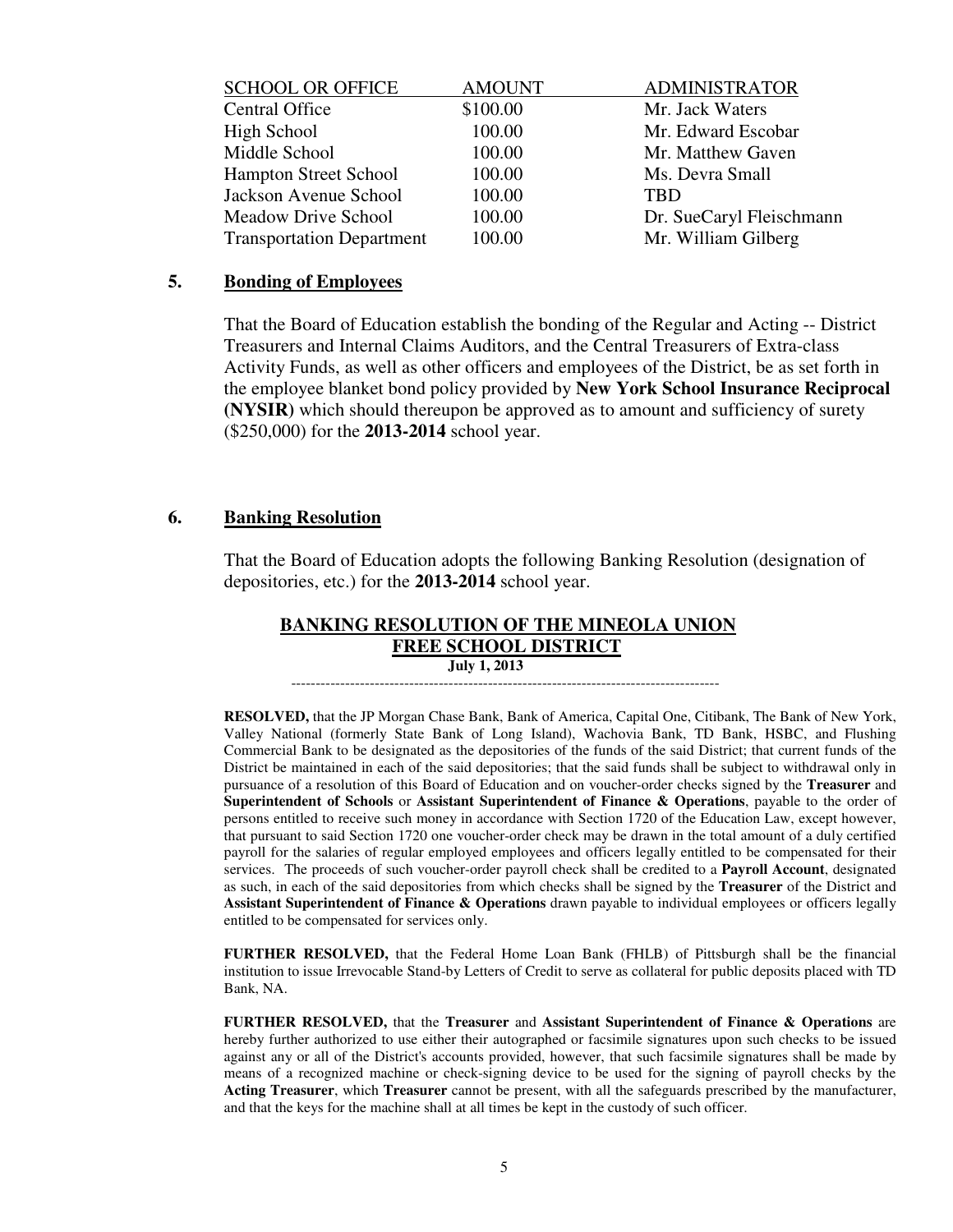| <b>SCHOOL OR OFFICE</b>          | <b>AMOUNT</b> | <b>ADMINISTRATOR</b>     |
|----------------------------------|---------------|--------------------------|
| <b>Central Office</b>            | \$100.00      | Mr. Jack Waters          |
| High School                      | 100.00        | Mr. Edward Escobar       |
| Middle School                    | 100.00        | Mr. Matthew Gaven        |
| <b>Hampton Street School</b>     | 100.00        | Ms. Devra Small          |
| Jackson Avenue School            | 100.00        | <b>TBD</b>               |
| Meadow Drive School              | 100.00        | Dr. SueCaryl Fleischmann |
| <b>Transportation Department</b> | 100.00        | Mr. William Gilberg      |
|                                  |               |                          |

#### **5. Bonding of Employees**

 That the Board of Education establish the bonding of the Regular and Acting -- District Treasurers and Internal Claims Auditors, and the Central Treasurers of Extra-class Activity Funds, as well as other officers and employees of the District, be as set forth in the employee blanket bond policy provided by **New York School Insurance Reciprocal (NYSIR)** which should thereupon be approved as to amount and sufficiency of surety (\$250,000) for the **2013-2014** school year.

### **6. Banking Resolution**

That the Board of Education adopts the following Banking Resolution (designation of depositories, etc.) for the **2013-2014** school year.

#### **BANKING RESOLUTION OF THE MINEOLA UNION FREE SCHOOL DISTRICT July 1, 2013**

---------------------------------------------------------------------------------------

 **RESOLVED,** that the JP Morgan Chase Bank, Bank of America, Capital One, Citibank, The Bank of New York, Valley National (formerly State Bank of Long Island), Wachovia Bank, TD Bank, HSBC, and Flushing Commercial Bank to be designated as the depositories of the funds of the said District; that current funds of the District be maintained in each of the said depositories; that the said funds shall be subject to withdrawal only in pursuance of a resolution of this Board of Education and on voucher-order checks signed by the **Treasurer** and **Superintendent of Schools** or **Assistant Superintendent of Finance & Operations**, payable to the order of persons entitled to receive such money in accordance with Section 1720 of the Education Law, except however, that pursuant to said Section 1720 one voucher-order check may be drawn in the total amount of a duly certified payroll for the salaries of regular employed employees and officers legally entitled to be compensated for their services. The proceeds of such voucher-order payroll check shall be credited to a **Payroll Account**, designated as such, in each of the said depositories from which checks shall be signed by the **Treasurer** of the District and **Assistant Superintendent of Finance & Operations** drawn payable to individual employees or officers legally entitled to be compensated for services only.

**FURTHER RESOLVED,** that the Federal Home Loan Bank (FHLB) of Pittsburgh shall be the financial institution to issue Irrevocable Stand-by Letters of Credit to serve as collateral for public deposits placed with TD Bank, NA.

**FURTHER RESOLVED,** that the **Treasurer** and **Assistant Superintendent of Finance & Operations** are hereby further authorized to use either their autographed or facsimile signatures upon such checks to be issued against any or all of the District's accounts provided, however, that such facsimile signatures shall be made by means of a recognized machine or check-signing device to be used for the signing of payroll checks by the **Acting Treasurer**, which **Treasurer** cannot be present, with all the safeguards prescribed by the manufacturer, and that the keys for the machine shall at all times be kept in the custody of such officer.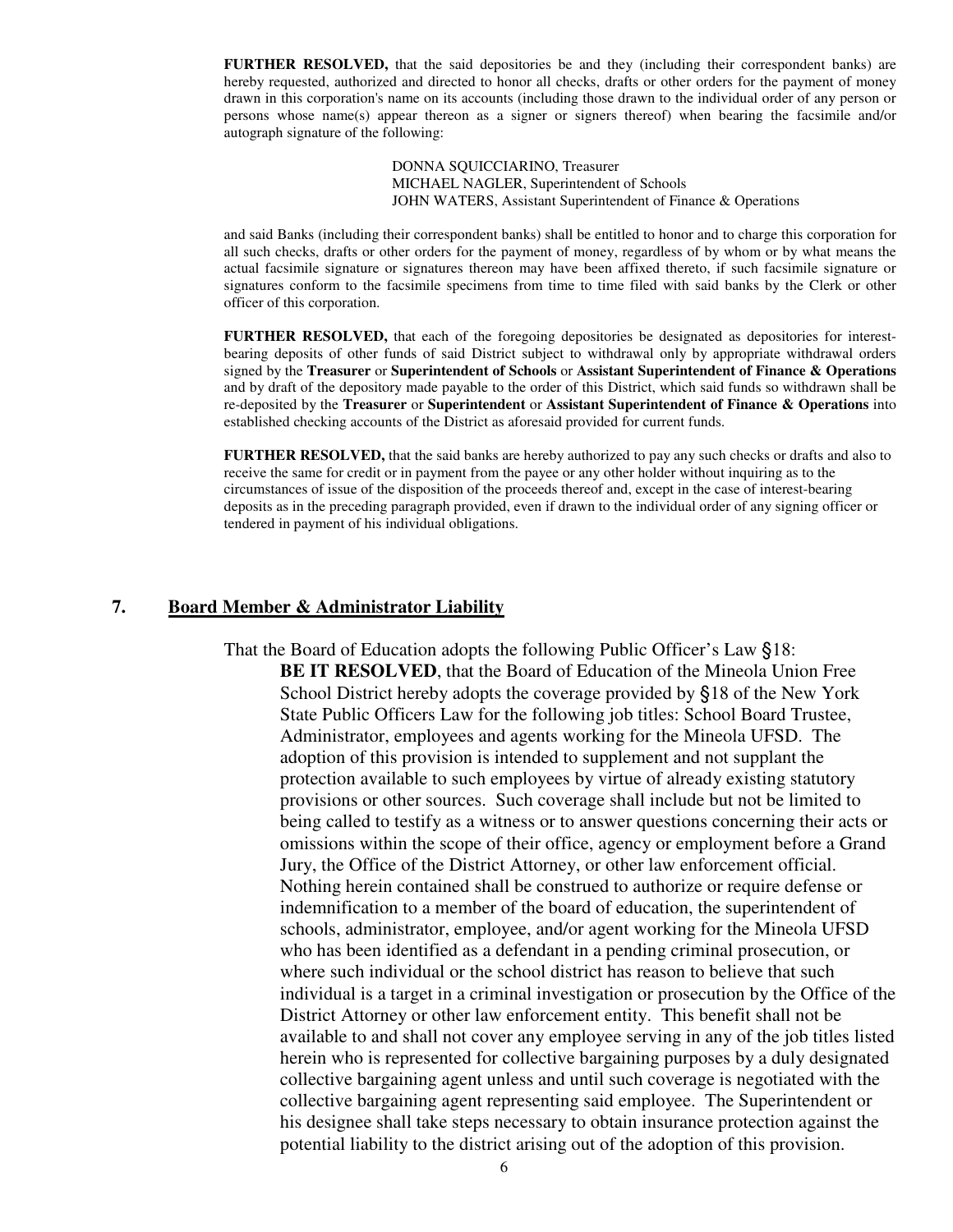**FURTHER RESOLVED,** that the said depositories be and they (including their correspondent banks) are hereby requested, authorized and directed to honor all checks, drafts or other orders for the payment of money drawn in this corporation's name on its accounts (including those drawn to the individual order of any person or persons whose name(s) appear thereon as a signer or signers thereof) when bearing the facsimile and/or autograph signature of the following:

> DONNA SQUICCIARINO, Treasurer MICHAEL NAGLER, Superintendent of Schools JOHN WATERS, Assistant Superintendent of Finance & Operations

and said Banks (including their correspondent banks) shall be entitled to honor and to charge this corporation for all such checks, drafts or other orders for the payment of money, regardless of by whom or by what means the actual facsimile signature or signatures thereon may have been affixed thereto, if such facsimile signature or signatures conform to the facsimile specimens from time to time filed with said banks by the Clerk or other officer of this corporation.

**FURTHER RESOLVED,** that each of the foregoing depositories be designated as depositories for interestbearing deposits of other funds of said District subject to withdrawal only by appropriate withdrawal orders signed by the **Treasurer** or **Superintendent of Schools** or **Assistant Superintendent of Finance & Operations** and by draft of the depository made payable to the order of this District, which said funds so withdrawn shall be re-deposited by the **Treasurer** or **Superintendent** or **Assistant Superintendent of Finance & Operations** into established checking accounts of the District as aforesaid provided for current funds.

**FURTHER RESOLVED,** that the said banks are hereby authorized to pay any such checks or drafts and also to receive the same for credit or in payment from the payee or any other holder without inquiring as to the circumstances of issue of the disposition of the proceeds thereof and, except in the case of interest-bearing deposits as in the preceding paragraph provided, even if drawn to the individual order of any signing officer or tendered in payment of his individual obligations.

#### **7. Board Member & Administrator Liability**

 That the Board of Education adopts the following Public Officer's Law §18: **BE IT RESOLVED**, that the Board of Education of the Mineola Union Free School District hereby adopts the coverage provided by §18 of the New York State Public Officers Law for the following job titles: School Board Trustee, Administrator, employees and agents working for the Mineola UFSD. The adoption of this provision is intended to supplement and not supplant the protection available to such employees by virtue of already existing statutory provisions or other sources. Such coverage shall include but not be limited to being called to testify as a witness or to answer questions concerning their acts or omissions within the scope of their office, agency or employment before a Grand Jury, the Office of the District Attorney, or other law enforcement official. Nothing herein contained shall be construed to authorize or require defense or indemnification to a member of the board of education, the superintendent of schools, administrator, employee, and/or agent working for the Mineola UFSD who has been identified as a defendant in a pending criminal prosecution, or where such individual or the school district has reason to believe that such individual is a target in a criminal investigation or prosecution by the Office of the District Attorney or other law enforcement entity. This benefit shall not be available to and shall not cover any employee serving in any of the job titles listed herein who is represented for collective bargaining purposes by a duly designated collective bargaining agent unless and until such coverage is negotiated with the collective bargaining agent representing said employee. The Superintendent or his designee shall take steps necessary to obtain insurance protection against the potential liability to the district arising out of the adoption of this provision.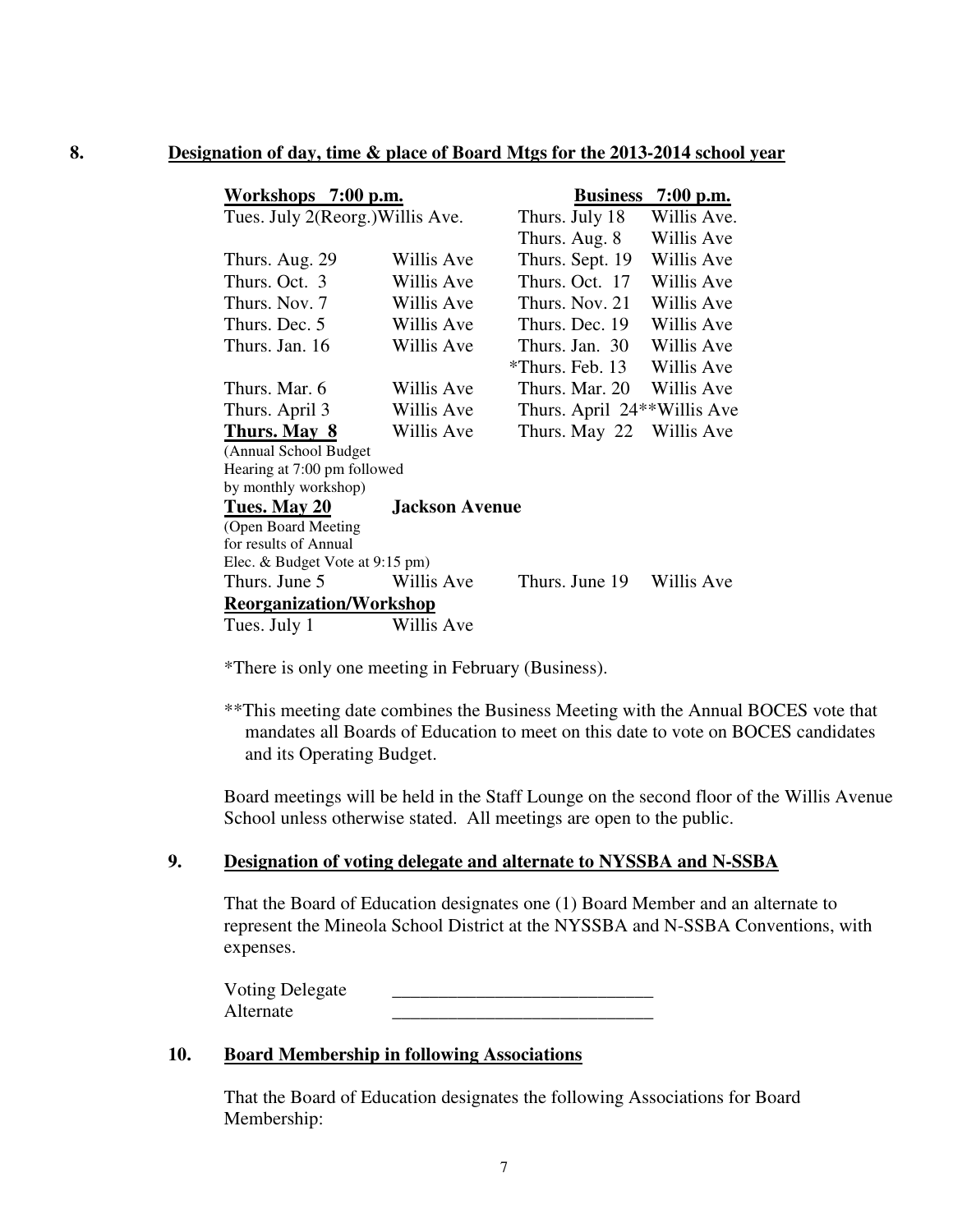#### **8. Designation of day, time & place of Board Mtgs for the 2013-2014 school year**

| Workshops 7:00 p.m.              |                       | <b>Business</b>             | $7:00$ p.m. |  |
|----------------------------------|-----------------------|-----------------------------|-------------|--|
| Tues. July 2(Reorg.) Willis Ave. |                       | Thurs. July 18              | Willis Ave. |  |
|                                  |                       | Thurs. Aug. 8               | Willis Ave  |  |
| Thurs. Aug. 29                   | Willis Ave            | Thurs. Sept. 19             | Willis Ave  |  |
| Thurs. Oct. 3                    | Willis Ave            | Thurs. Oct. 17              | Willis Ave  |  |
| Thurs. Nov. 7                    | Willis Ave            | Thurs, Nov. 21              | Willis Ave  |  |
| Thurs. Dec. 5                    | Willis Ave            | Thurs. Dec. 19              | Willis Ave  |  |
| Thurs. Jan. 16                   | Willis Ave            | Thurs. Jan. 30              | Willis Ave  |  |
|                                  |                       | *Thurs. Feb. 13             | Willis Ave  |  |
| Thurs. Mar. 6                    | Willis Ave            | Thurs. Mar. 20              | Willis Ave  |  |
| Thurs. April 3                   | Willis Ave            | Thurs. April 24**Willis Ave |             |  |
| Thurs. May 8                     | Willis Ave            | Thurs. May 22               | Willis Ave  |  |
| (Annual School Budget            |                       |                             |             |  |
| Hearing at 7:00 pm followed      |                       |                             |             |  |
| by monthly workshop)             |                       |                             |             |  |
| Tues. May 20                     | <b>Jackson Avenue</b> |                             |             |  |
| (Open Board Meeting              |                       |                             |             |  |
| for results of Annual            |                       |                             |             |  |
| Elec. & Budget Vote at 9:15 pm)  |                       |                             |             |  |
| Thurs. June 5                    | Willis Ave            | Thurs. June 19              | Willis Ave  |  |
| <b>Reorganization/Workshop</b>   |                       |                             |             |  |
| Tues. July 1                     | Willis Ave            |                             |             |  |

\*There is only one meeting in February (Business).

\*\*This meeting date combines the Business Meeting with the Annual BOCES vote that mandates all Boards of Education to meet on this date to vote on BOCES candidates and its Operating Budget.

Board meetings will be held in the Staff Lounge on the second floor of the Willis Avenue School unless otherwise stated. All meetings are open to the public.

#### **9. Designation of voting delegate and alternate to NYSSBA and N-SSBA**

That the Board of Education designates one (1) Board Member and an alternate to represent the Mineola School District at the NYSSBA and N-SSBA Conventions, with expenses.

| <b>Voting Delegate</b> |  |
|------------------------|--|
| Alternate              |  |

#### **10. Board Membership in following Associations**

That the Board of Education designates the following Associations for Board Membership: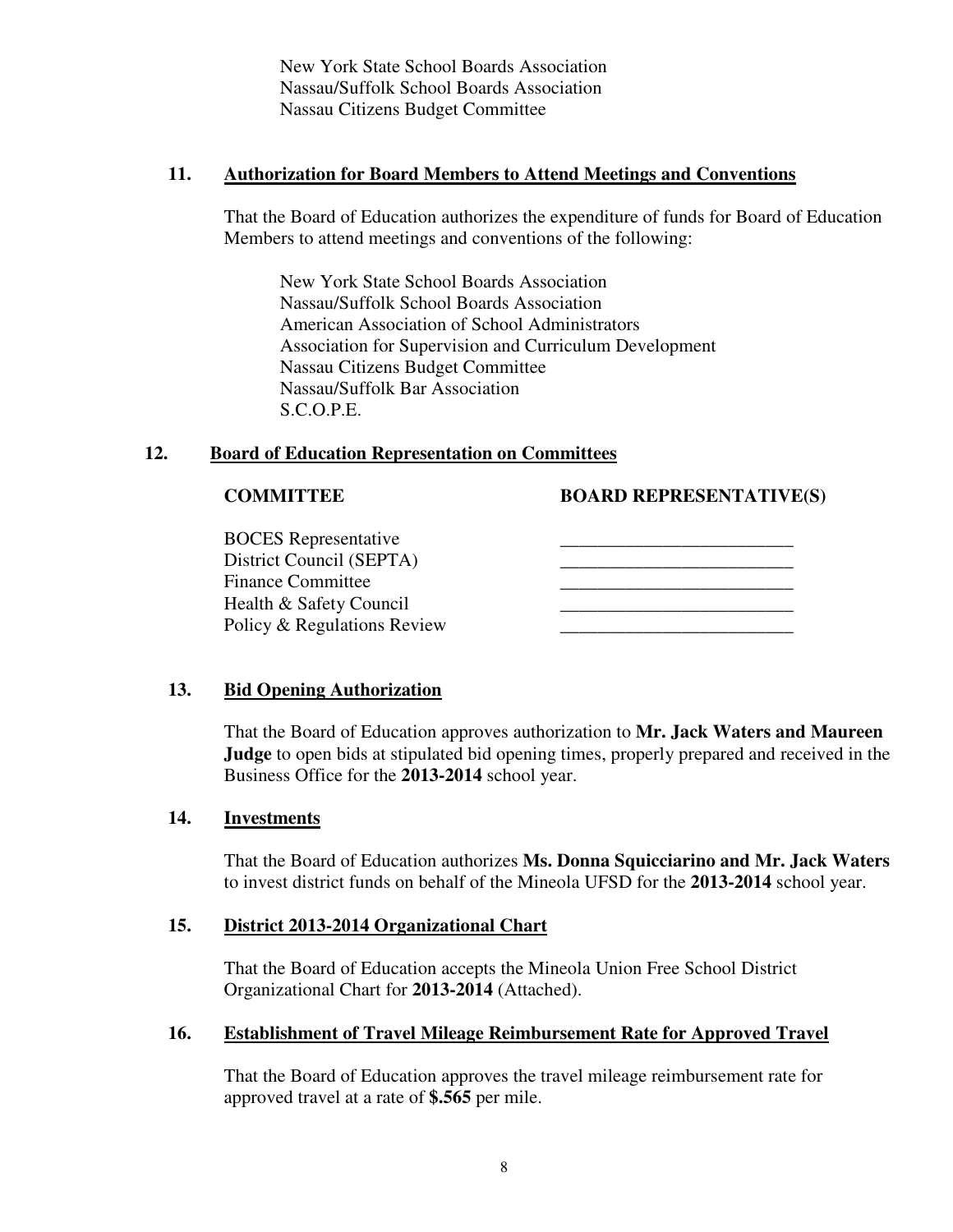New York State School Boards Association Nassau/Suffolk School Boards Association Nassau Citizens Budget Committee

### **11. Authorization for Board Members to Attend Meetings and Conventions**

That the Board of Education authorizes the expenditure of funds for Board of Education Members to attend meetings and conventions of the following:

New York State School Boards Association Nassau/Suffolk School Boards Association American Association of School Administrators Association for Supervision and Curriculum Development Nassau Citizens Budget Committee Nassau/Suffolk Bar Association S.C.O.P.E.

# **12. Board of Education Representation on Committees**

**COMMITTEE BOARD REPRESENTATIVE(S)** 

 BOCES Representative \_\_\_\_\_\_\_\_\_\_\_\_\_\_\_\_\_\_\_\_\_\_\_\_\_ District Council (SEPTA) Finance Committee Health & Safety Council Policy & Regulations Review

# **13. Bid Opening Authorization**

That the Board of Education approves authorization to **Mr. Jack Waters and Maureen Judge** to open bids at stipulated bid opening times, properly prepared and received in the Business Office for the **2013-2014** school year.

### **14. Investments**

That the Board of Education authorizes **Ms. Donna Squicciarino and Mr. Jack Waters** to invest district funds on behalf of the Mineola UFSD for the **2013-2014** school year.

### **15. District 2013-2014 Organizational Chart**

That the Board of Education accepts the Mineola Union Free School District Organizational Chart for **2013-2014** (Attached).

### **16. Establishment of Travel Mileage Reimbursement Rate for Approved Travel**

That the Board of Education approves the travel mileage reimbursement rate for approved travel at a rate of **\$.565** per mile.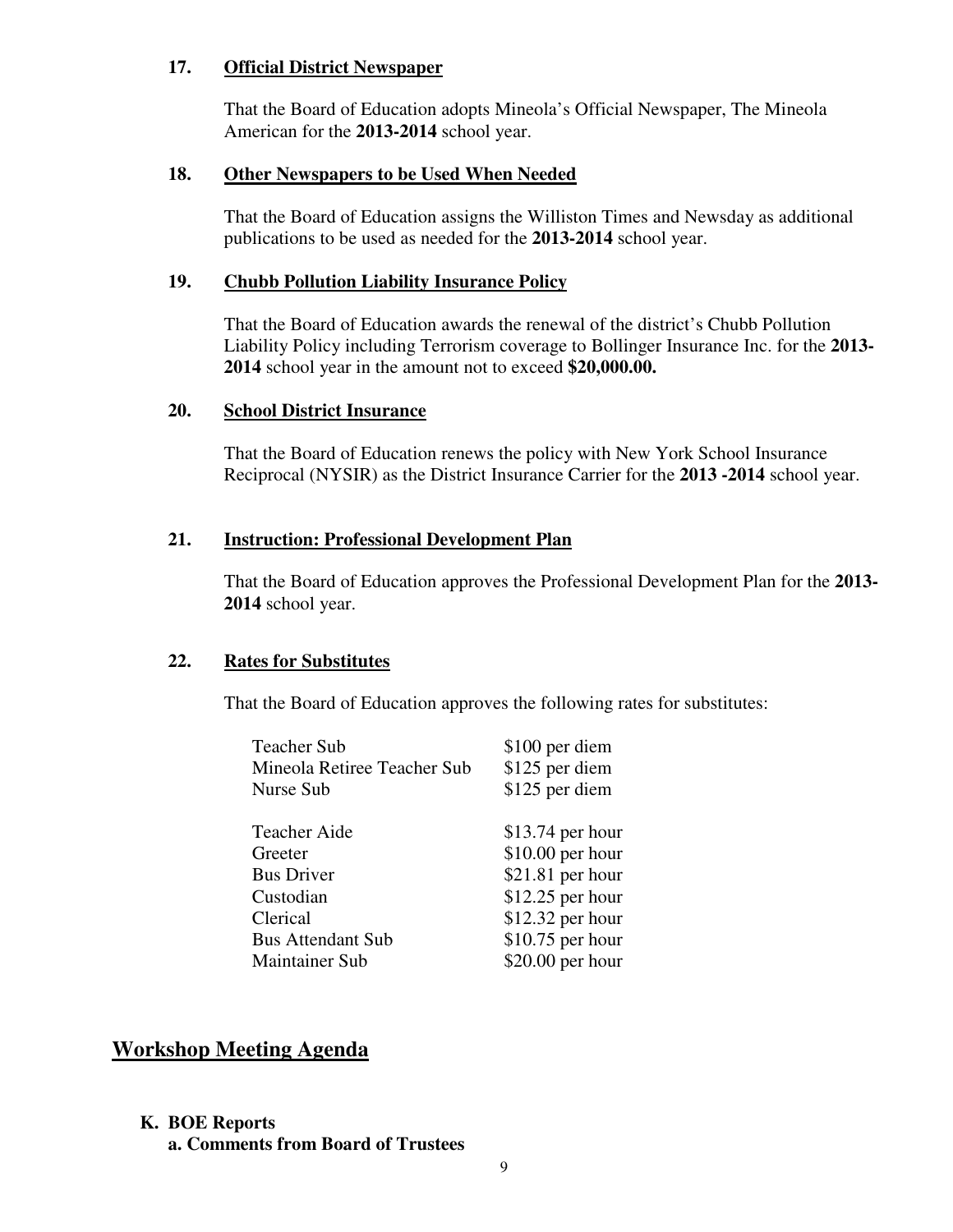# **17. Official District Newspaper**

That the Board of Education adopts Mineola's Official Newspaper, The Mineola American for the **2013-2014** school year.

# **18. Other Newspapers to be Used When Needed**

That the Board of Education assigns the Williston Times and Newsday as additional publications to be used as needed for the **2013-2014** school year.

# **19. Chubb Pollution Liability Insurance Policy**

That the Board of Education awards the renewal of the district's Chubb Pollution Liability Policy including Terrorism coverage to Bollinger Insurance Inc. for the **2013- 2014** school year in the amount not to exceed **\$20,000.00.**

## **20. School District Insurance**

That the Board of Education renews the policy with New York School Insurance Reciprocal (NYSIR) as the District Insurance Carrier for the **2013 -2014** school year.

# **21. Instruction: Professional Development Plan**

That the Board of Education approves the Professional Development Plan for the **2013- 2014** school year.

### **22. Rates for Substitutes**

That the Board of Education approves the following rates for substitutes:

| Teacher Sub                 | \$100 per diem    |
|-----------------------------|-------------------|
| Mineola Retiree Teacher Sub | \$125 per diem    |
| Nurse Sub                   | \$125 per diem    |
|                             |                   |
| Teacher Aide                | $$13.74$ per hour |
| Greeter                     | $$10.00$ per hour |
| <b>Bus Driver</b>           | $$21.81$ per hour |
| Custodian                   | $$12.25$ per hour |
| Clerical                    | $$12.32$ per hour |
| <b>Bus Attendant Sub</b>    | $$10.75$ per hour |
| <b>Maintainer Sub</b>       | $$20.00$ per hour |

# **Workshop Meeting Agenda**

# **K. BOE Reports**

**a. Comments from Board of Trustees**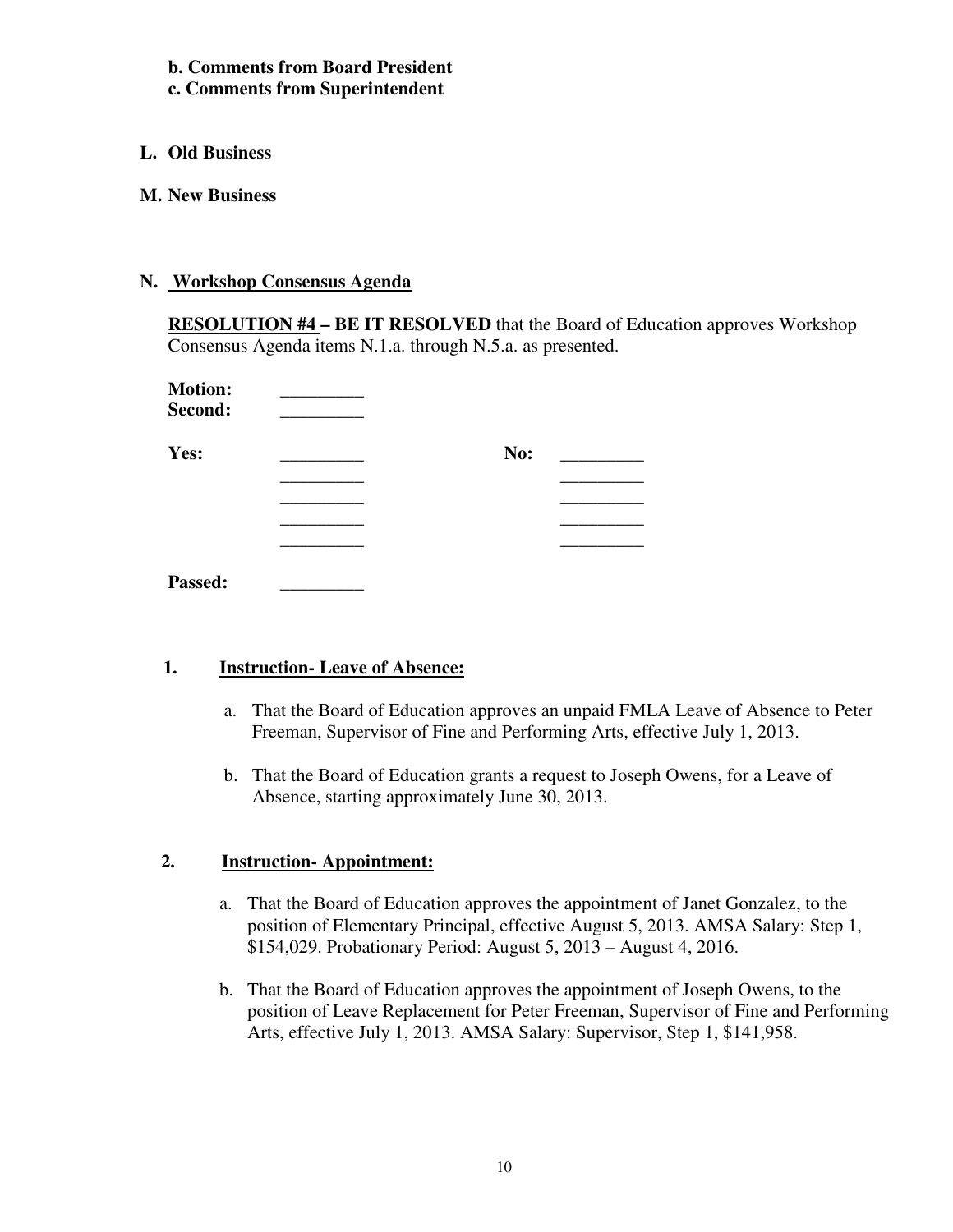**b. Comments from Board President c. Comments from Superintendent** 

- **L. Old Business**
- **M. New Business**

# **N. Workshop Consensus Agenda**

**RESOLUTION #4 – BE IT RESOLVED** that the Board of Education approves Workshop Consensus Agenda items N.1.a. through N.5.a. as presented.

| <b>Motion:</b><br>Second: |     |
|---------------------------|-----|
| Yes:                      | No: |
|                           |     |
|                           |     |
|                           |     |
|                           |     |
| Passed:                   |     |

# **1. Instruction- Leave of Absence:**

- a. That the Board of Education approves an unpaid FMLA Leave of Absence to Peter Freeman, Supervisor of Fine and Performing Arts, effective July 1, 2013.
- b. That the Board of Education grants a request to Joseph Owens, for a Leave of Absence, starting approximately June 30, 2013.

# **2. Instruction- Appointment:**

- a. That the Board of Education approves the appointment of Janet Gonzalez, to the position of Elementary Principal, effective August 5, 2013. AMSA Salary: Step 1, \$154,029. Probationary Period: August 5, 2013 – August 4, 2016.
- b. That the Board of Education approves the appointment of Joseph Owens, to the position of Leave Replacement for Peter Freeman, Supervisor of Fine and Performing Arts, effective July 1, 2013. AMSA Salary: Supervisor, Step 1, \$141,958.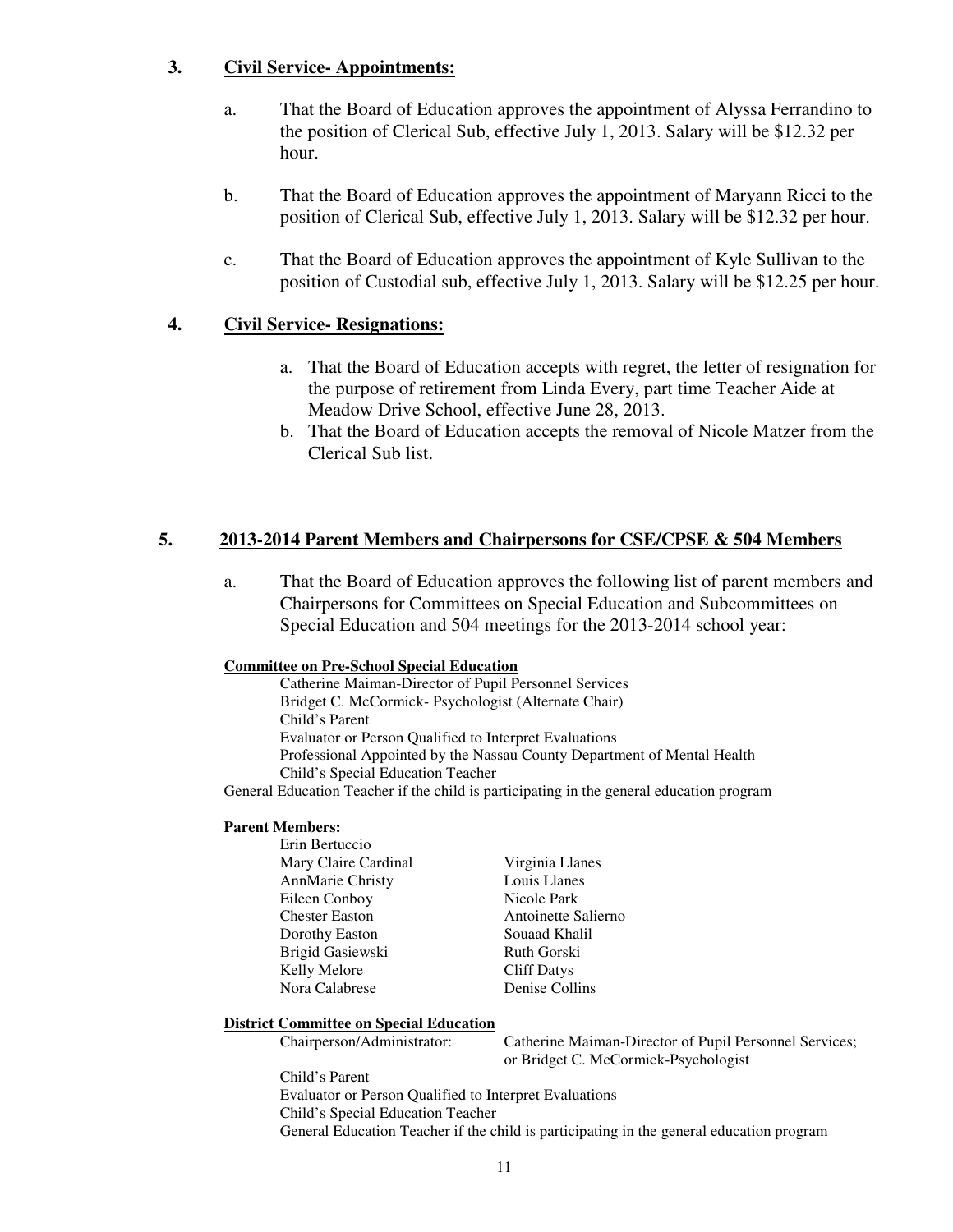# **3. Civil Service- Appointments:**

- a. That the Board of Education approves the appointment of Alyssa Ferrandino to the position of Clerical Sub, effective July 1, 2013. Salary will be \$12.32 per hour.
- b. That the Board of Education approves the appointment of Maryann Ricci to the position of Clerical Sub, effective July 1, 2013. Salary will be \$12.32 per hour.
- c. That the Board of Education approves the appointment of Kyle Sullivan to the position of Custodial sub, effective July 1, 2013. Salary will be \$12.25 per hour.

# **4. Civil Service- Resignations:**

- a. That the Board of Education accepts with regret, the letter of resignation for the purpose of retirement from Linda Every, part time Teacher Aide at Meadow Drive School, effective June 28, 2013.
- b. That the Board of Education accepts the removal of Nicole Matzer from the Clerical Sub list.

### **5. 2013-2014 Parent Members and Chairpersons for CSE/CPSE & 504 Members**

a. That the Board of Education approves the following list of parent members and Chairpersons for Committees on Special Education and Subcommittees on Special Education and 504 meetings for the 2013-2014 school year:

#### **Committee on Pre-School Special Education**

Catherine Maiman-Director of Pupil Personnel Services Bridget C. McCormick- Psychologist (Alternate Chair) Child's Parent Evaluator or Person Qualified to Interpret Evaluations Professional Appointed by the Nassau County Department of Mental Health Child's Special Education Teacher

General Education Teacher if the child is participating in the general education program

#### **Parent Members:**

 Erin Bertuccio Mary Claire Cardinal Virginia Llanes AnnMarie Christy Louis Llanes Eileen Conboy Chester Easton Antoinette Salierno Dorothy Easton Souaad Khalil Brigid Gasiewski Ruth Gorski Kelly Melore Cliff Datys Nora Calabrese Denise Collins

#### **District Committee on Special Education**

Chairperson/Administrator: Catherine Maiman-Director of Pupil Personnel Services; or Bridget C. McCormick-Psychologist

Child's Parent Evaluator or Person Qualified to Interpret Evaluations Child's Special Education Teacher General Education Teacher if the child is participating in the general education program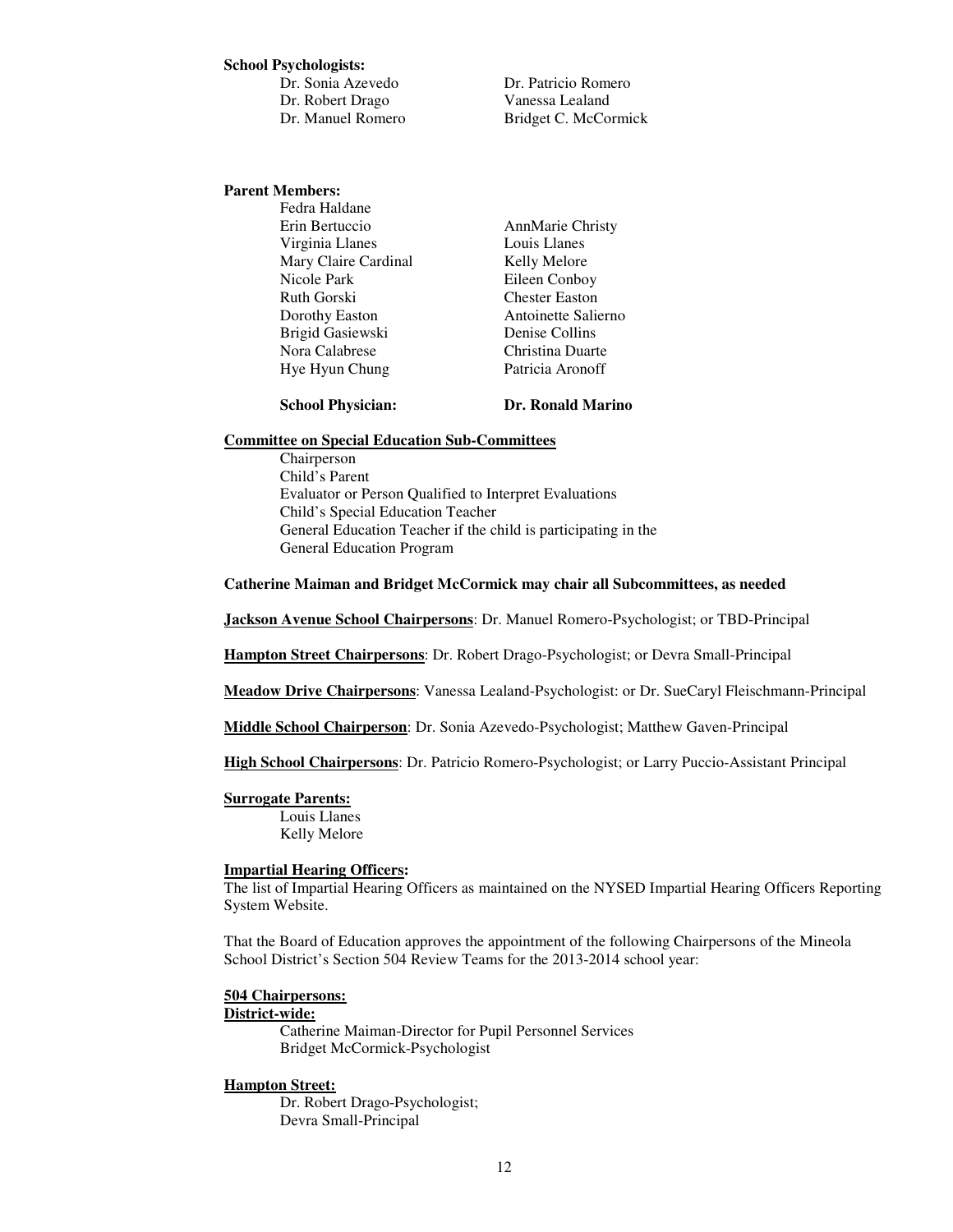#### **School Psychologists:**

 Dr. Sonia Azevedo Dr. Patricio Romero Dr. Robert Drago Vanessa Lealand

Dr. Manuel Romero Bridget C. McCormick

#### **Parent Members:**

Fedra Haldane Erin Bertuccio AnnMarie Christy Virginia Llanes Louis Llanes Mary Claire Cardinal Kelly Melore Nicole Park Eileen Conboy Ruth Gorski Chester Easton Dorothy Easton **Antoinette Salierno**  Brigid Gasiewski Denise Collins Nora Calabrese Christina Duarte Hye Hyun Chung Patricia Aronoff

**School Physician: Dr. Ronald Marino** 

#### **Committee on Special Education Sub-Committees**

Chairperson Child's Parent Evaluator or Person Qualified to Interpret Evaluations Child's Special Education Teacher General Education Teacher if the child is participating in the General Education Program

#### **Catherine Maiman and Bridget McCormick may chair all Subcommittees, as needed**

**Jackson Avenue School Chairpersons**: Dr. Manuel Romero-Psychologist; or TBD-Principal

**Hampton Street Chairpersons**: Dr. Robert Drago-Psychologist; or Devra Small-Principal

**Meadow Drive Chairpersons**: Vanessa Lealand-Psychologist: or Dr. SueCaryl Fleischmann-Principal

**Middle School Chairperson**: Dr. Sonia Azevedo-Psychologist; Matthew Gaven-Principal

**High School Chairpersons**: Dr. Patricio Romero-Psychologist; or Larry Puccio-Assistant Principal

**Surrogate Parents:** Louis Llanes Kelly Melore

#### **Impartial Hearing Officers:**

The list of Impartial Hearing Officers as maintained on the NYSED Impartial Hearing Officers Reporting System Website.

That the Board of Education approves the appointment of the following Chairpersons of the Mineola School District's Section 504 Review Teams for the 2013-2014 school year:

# **504 Chairpersons:**

#### **District-wide:**

Catherine Maiman-Director for Pupil Personnel Services Bridget McCormick-Psychologist

#### **Hampton Street:**

Dr. Robert Drago-Psychologist; Devra Small-Principal